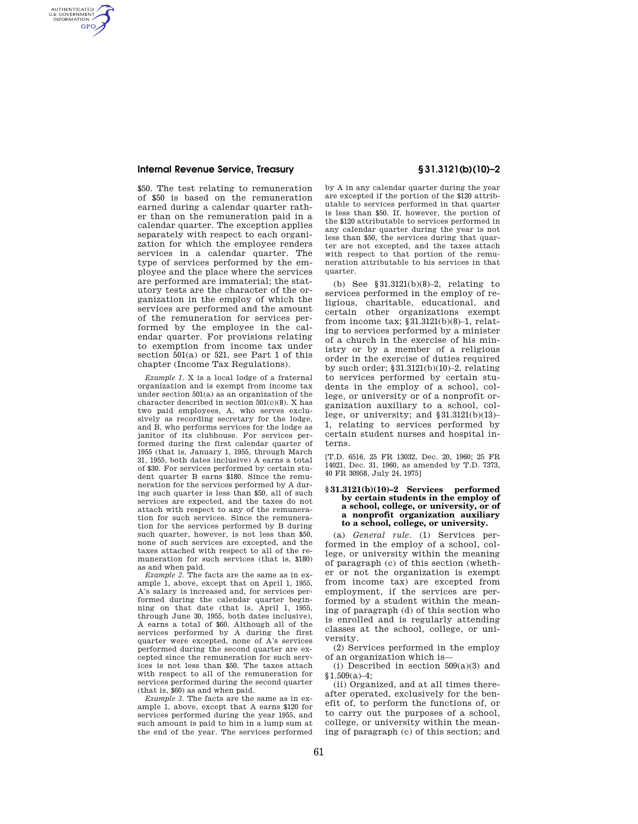### **Internal Revenue Service, Treasury § 31.3121(b)(10)–2**

AUTHENTICATED<br>U.S. GOVERNMENT<br>INFORMATION **GPO** 

> \$50. The test relating to remuneration of \$50 is based on the remuneration earned during a calendar quarter rather than on the remuneration paid in a calendar quarter. The exception applies separately with respect to each organization for which the employee renders services in a calendar quarter. The type of services performed by the employee and the place where the services are performed are immaterial; the statutory tests are the character of the organization in the employ of which the services are performed and the amount of the remuneration for services performed by the employee in the calendar quarter. For provisions relating to exemption from income tax under section 501(a) or 521, see Part 1 of this chapter (Income Tax Regulations).

> *Example 1.* X is a local lodge of a fraternal organization and is exempt from income tax under section 501(a) as an organization of the character described in section  $501(c)(8)$ . X has two paid employees, A, who serves exclusively as recording secretary for the lodge, and B, who performs services for the lodge as janitor of its clubhouse. For services performed during the first calendar quarter of 1955 (that is, January 1, 1955, through March 31, 1955, both dates inclusive) A earns a total of \$30. For services performed by certain student quarter B earns \$180. Since the remuneration for the services performed by A during such quarter is less than \$50, all of such services are expected, and the taxes do not attach with respect to any of the remuneration for such services. Since the remuneration for the services performed by B during such quarter, however, is not less than \$50, none of such services are excepted, and the taxes attached with respect to all of the remuneration for such services (that is, \$180) as and when paid.

> *Example 2.* The facts are the same as in example 1, above, except that on April 1, 1955, A's salary is increased and, for services performed during the calendar quarter beginning on that date (that is, April 1, 1955, through June 30, 1955, both dates inclusive), A earns a total of \$60. Although all of the services performed by A during the first quarter were excepted, none of A's services performed during the second quarter are excepted since the remuneration for such services is not less than \$50. The taxes attach with respect to all of the remuneration for services performed during the second quarter (that is, \$60) as and when paid.

> *Example 3.* The facts are the same as in example 1, above, except that A earns \$120 for services performed during the year 1955, and such amount is paid to him in a lump sum at the end of the year. The services performed

by A in any calendar quarter during the year are excepted if the portion of the \$120 attributable to services performed in that quarter is less than \$50. If, however, the portion of the \$120 attributable to services performed in any calendar quarter during the year is not less than \$50, the services during that quarter are not excepted, and the taxes attach with respect to that portion of the remuneration attributable to his services in that quarter.

(b) See §31.3121(b)(8)–2, relating to services performed in the employ of religious, charitable, educational, and certain other organizations exempt from income tax; §31.3121(b)(8)–1, relating to services performed by a minister of a church in the exercise of his ministry or by a member of a religious order in the exercise of duties required by such order; §31.3121(b)(10)–2, relating to services performed by certain students in the employ of a school, college, or university or of a nonprofit organization auxiliary to a school, college, or university; and  $§31.3121(b)(13)$ -1, relating to services performed by certain student nurses and hospital interns.

[T.D. 6516, 25 FR 13032, Dec. 20, 1960; 25 FR 14021, Dec. 31, 1960, as amended by T.D. 7373, 40 FR 30958, July 24, 1975]

#### **§ 31.3121(b)(10)–2 Services performed by certain students in the employ of a school, college, or university, or of a nonprofit organization auxiliary to a school, college, or university.**

(a) *General rule.* (1) Services performed in the employ of a school, college, or university within the meaning of paragraph (c) of this section (whether or not the organization is exempt from income tax) are excepted from employment, if the services are performed by a student within the meaning of paragraph (d) of this section who is enrolled and is regularly attending classes at the school, college, or university.

(2) Services performed in the employ of an organization which is—

(i) Described in section  $509(a)(3)$  and §1.509(a)–4;

(ii) Organized, and at all times thereafter operated, exclusively for the benefit of, to perform the functions of, or to carry out the purposes of a school, college, or university within the meaning of paragraph (c) of this section; and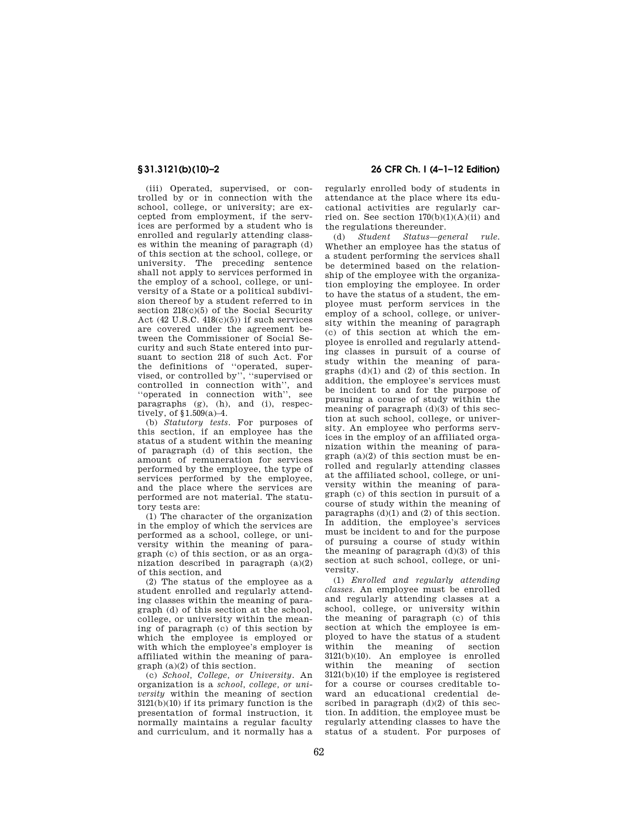(iii) Operated, supervised, or controlled by or in connection with the school, college, or university; are excepted from employment, if the services are performed by a student who is enrolled and regularly attending classes within the meaning of paragraph (d) of this section at the school, college, or university. The preceding sentence shall not apply to services performed in the employ of a school, college, or university of a State or a political subdivision thereof by a student referred to in section  $218(c)(5)$  of the Social Security Act  $(42 \text{ U.S.C. } 418(c)(5))$  if such services are covered under the agreement between the Commissioner of Social Security and such State entered into pursuant to section 218 of such Act. For the definitions of ''operated, supervised, or controlled by'', ''supervised or controlled in connection with'', and ''operated in connection with'', see paragraphs (g), (h), and (i), respectively, of §1.509(a)–4.

(b) *Statutory tests.* For purposes of this section, if an employee has the status of a student within the meaning of paragraph (d) of this section, the amount of remuneration for services performed by the employee, the type of services performed by the employee. and the place where the services are performed are not material. The statutory tests are:

(1) The character of the organization in the employ of which the services are performed as a school, college, or university within the meaning of paragraph (c) of this section, or as an organization described in paragraph (a)(2) of this section, and

(2) The status of the employee as a student enrolled and regularly attending classes within the meaning of paragraph (d) of this section at the school, college, or university within the meaning of paragraph (c) of this section by which the employee is employed or with which the employee's employer is affiliated within the meaning of paragraph (a)(2) of this section.

(c) *School, College, or University.* An organization is a *school, college, or university* within the meaning of section 3121(b)(10) if its primary function is the presentation of formal instruction, it normally maintains a regular faculty and curriculum, and it normally has a

# **§ 31.3121(b)(10)–2 26 CFR Ch. I (4–1–12 Edition)**

regularly enrolled body of students in attendance at the place where its educational activities are regularly carried on. See section  $170(b)(1)(A)(ii)$  and the regulations thereunder.

(d) *Student Status—general rule.*  Whether an employee has the status of a student performing the services shall be determined based on the relationship of the employee with the organization employing the employee. In order to have the status of a student, the employee must perform services in the employ of a school, college, or university within the meaning of paragraph (c) of this section at which the employee is enrolled and regularly attending classes in pursuit of a course of study within the meaning of paragraphs (d)(1) and (2) of this section. In addition, the employee's services must be incident to and for the purpose of pursuing a course of study within the meaning of paragraph (d)(3) of this section at such school, college, or university. An employee who performs services in the employ of an affiliated organization within the meaning of paragraph (a)(2) of this section must be enrolled and regularly attending classes at the affiliated school, college, or university within the meaning of paragraph (c) of this section in pursuit of a course of study within the meaning of paragraphs  $(d)(1)$  and  $(2)$  of this section. In addition, the employee's services must be incident to and for the purpose of pursuing a course of study within the meaning of paragraph  $(d)(3)$  of this section at such school, college, or university.

(1) *Enrolled and regularly attending classes.* An employee must be enrolled and regularly attending classes at a school, college, or university within the meaning of paragraph (c) of this section at which the employee is employed to have the status of a student within the meaning of section  $3121(b)(10)$ . An employee is enrolled<br>within the meaning of section within the meaning of 3121(b)(10) if the employee is registered for a course or courses creditable toward an educational credential described in paragraph  $(d)(2)$  of this section. In addition, the employee must be regularly attending classes to have the status of a student. For purposes of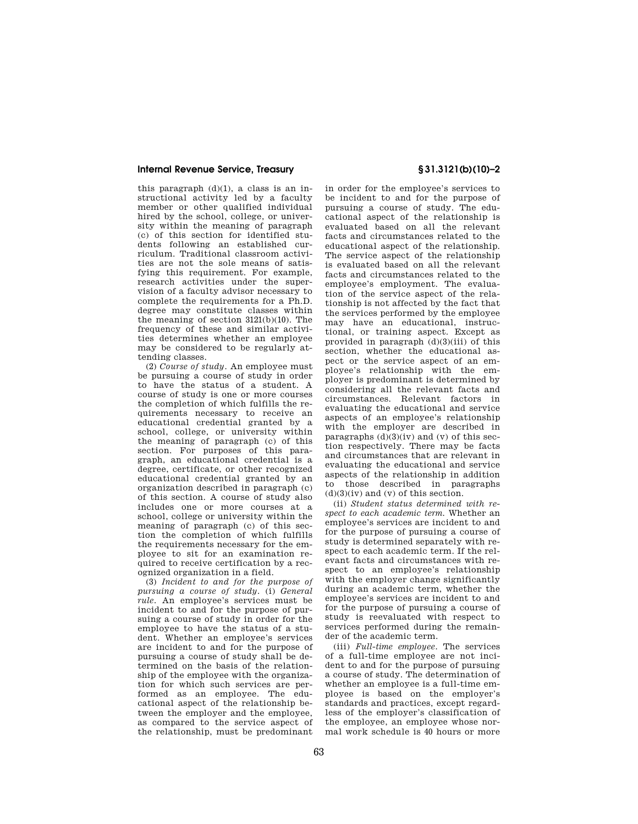## **Internal Revenue Service, Treasury § 31.3121(b)(10)–2**

this paragraph  $(d)(1)$ , a class is an instructional activity led by a faculty member or other qualified individual hired by the school, college, or university within the meaning of paragraph (c) of this section for identified students following an established curriculum. Traditional classroom activities are not the sole means of satisfying this requirement. For example, research activities under the supervision of a faculty advisor necessary to complete the requirements for a Ph.D. degree may constitute classes within the meaning of section 3121(b)(10). The frequency of these and similar activities determines whether an employee may be considered to be regularly attending classes.

(2) *Course of study.* An employee must be pursuing a course of study in order to have the status of a student. A course of study is one or more courses the completion of which fulfills the requirements necessary to receive an educational credential granted by a school, college, or university within the meaning of paragraph (c) of this section. For purposes of this paragraph, an educational credential is a degree, certificate, or other recognized educational credential granted by an organization described in paragraph (c) of this section. A course of study also includes one or more courses at a school, college or university within the meaning of paragraph (c) of this section the completion of which fulfills the requirements necessary for the employee to sit for an examination required to receive certification by a recognized organization in a field.

(3) *Incident to and for the purpose of pursuing a course of study.* (i) *General rule.* An employee's services must be incident to and for the purpose of pursuing a course of study in order for the employee to have the status of a student. Whether an employee's services are incident to and for the purpose of pursuing a course of study shall be determined on the basis of the relationship of the employee with the organization for which such services are performed as an employee. The educational aspect of the relationship between the employer and the employee, as compared to the service aspect of the relationship, must be predominant

in order for the employee's services to be incident to and for the purpose of pursuing a course of study. The educational aspect of the relationship is evaluated based on all the relevant facts and circumstances related to the educational aspect of the relationship. The service aspect of the relationship is evaluated based on all the relevant facts and circumstances related to the employee's employment. The evaluation of the service aspect of the relationship is not affected by the fact that the services performed by the employee may have an educational, instructional, or training aspect. Except as provided in paragraph (d)(3)(iii) of this section, whether the educational aspect or the service aspect of an employee's relationship with the employer is predominant is determined by considering all the relevant facts and circumstances. Relevant factors in evaluating the educational and service aspects of an employee's relationship with the employer are described in paragraphs  $(d)(3)(iv)$  and  $(v)$  of this section respectively. There may be facts and circumstances that are relevant in evaluating the educational and service aspects of the relationship in addition to those described in paragraphs  $(d)(3)(iv)$  and  $(v)$  of this section.

(ii) *Student status determined with respect to each academic term.* Whether an employee's services are incident to and for the purpose of pursuing a course of study is determined separately with respect to each academic term. If the relevant facts and circumstances with respect to an employee's relationship with the employer change significantly during an academic term, whether the employee's services are incident to and for the purpose of pursuing a course of study is reevaluated with respect to services performed during the remainder of the academic term.

(iii) *Full-time employee.* The services of a full-time employee are not incident to and for the purpose of pursuing a course of study. The determination of whether an employee is a full-time employee is based on the employer's standards and practices, except regardless of the employer's classification of the employee, an employee whose normal work schedule is 40 hours or more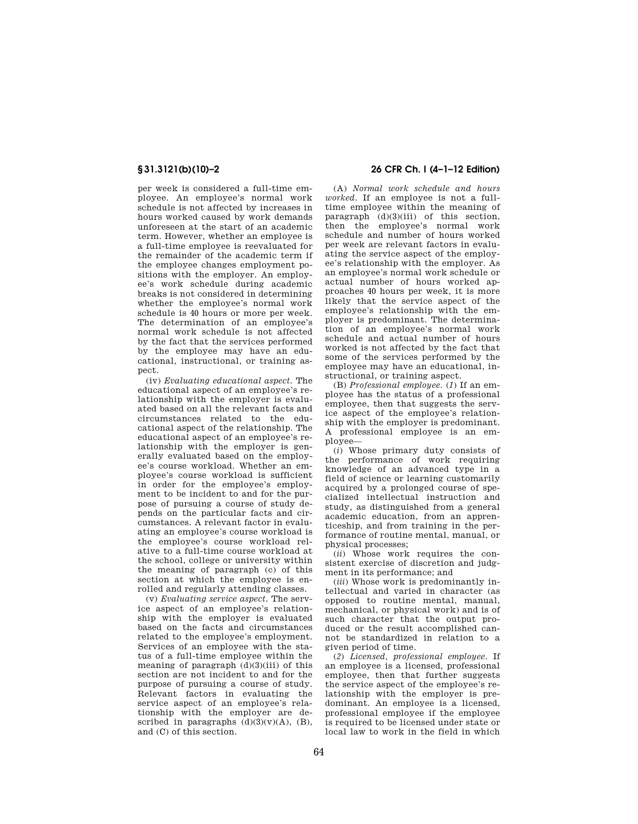per week is considered a full-time employee. An employee's normal work schedule is not affected by increases in hours worked caused by work demands unforeseen at the start of an academic term. However, whether an employee is a full-time employee is reevaluated for the remainder of the academic term if the employee changes employment positions with the employer. An employee's work schedule during academic breaks is not considered in determining whether the employee's normal work schedule is 40 hours or more per week. The determination of an employee's normal work schedule is not affected by the fact that the services performed by the employee may have an educational, instructional, or training aspect.

(iv) *Evaluating educational aspect.* The educational aspect of an employee's relationship with the employer is evaluated based on all the relevant facts and circumstances related to the educational aspect of the relationship. The educational aspect of an employee's relationship with the employer is generally evaluated based on the employee's course workload. Whether an employee's course workload is sufficient in order for the employee's employment to be incident to and for the purpose of pursuing a course of study depends on the particular facts and circumstances. A relevant factor in evaluating an employee's course workload is the employee's course workload relative to a full-time course workload at the school, college or university within the meaning of paragraph (c) of this section at which the employee is enrolled and regularly attending classes.

(v) *Evaluating service aspect.* The service aspect of an employee's relationship with the employer is evaluated based on the facts and circumstances related to the employee's employment. Services of an employee with the status of a full-time employee within the meaning of paragraph  $(d)(3)(iii)$  of this section are not incident to and for the purpose of pursuing a course of study. Relevant factors in evaluating the service aspect of an employee's relationship with the employer are described in paragraphs  $(d)(3)(v)(A)$ ,  $(B)$ , and (C) of this section.

# **§ 31.3121(b)(10)–2 26 CFR Ch. I (4–1–12 Edition)**

(A) *Normal work schedule and hours worked.* If an employee is not a fulltime employee within the meaning of paragraph (d)(3)(iii) of this section, then the employee's normal work schedule and number of hours worked per week are relevant factors in evaluating the service aspect of the employee's relationship with the employer. As an employee's normal work schedule or actual number of hours worked approaches 40 hours per week, it is more likely that the service aspect of the employee's relationship with the employer is predominant. The determination of an employee's normal work schedule and actual number of hours worked is not affected by the fact that some of the services performed by the employee may have an educational, instructional, or training aspect.

(B) *Professional employee.* (*1*) If an employee has the status of a professional employee, then that suggests the service aspect of the employee's relationship with the employer is predominant. A professional employee is an employee—

(*i*) Whose primary duty consists of the performance of work requiring knowledge of an advanced type in a field of science or learning customarily acquired by a prolonged course of specialized intellectual instruction and study, as distinguished from a general academic education, from an apprenticeship, and from training in the performance of routine mental, manual, or physical processes;

(*ii*) Whose work requires the consistent exercise of discretion and judgment in its performance; and

(*iii*) Whose work is predominantly intellectual and varied in character (as opposed to routine mental, manual, mechanical, or physical work) and is of such character that the output produced or the result accomplished cannot be standardized in relation to a given period of time.

(*2*) *Licensed, professional employee.* If an employee is a licensed, professional employee, then that further suggests the service aspect of the employee's relationship with the employer is predominant. An employee is a licensed, professional employee if the employee is required to be licensed under state or local law to work in the field in which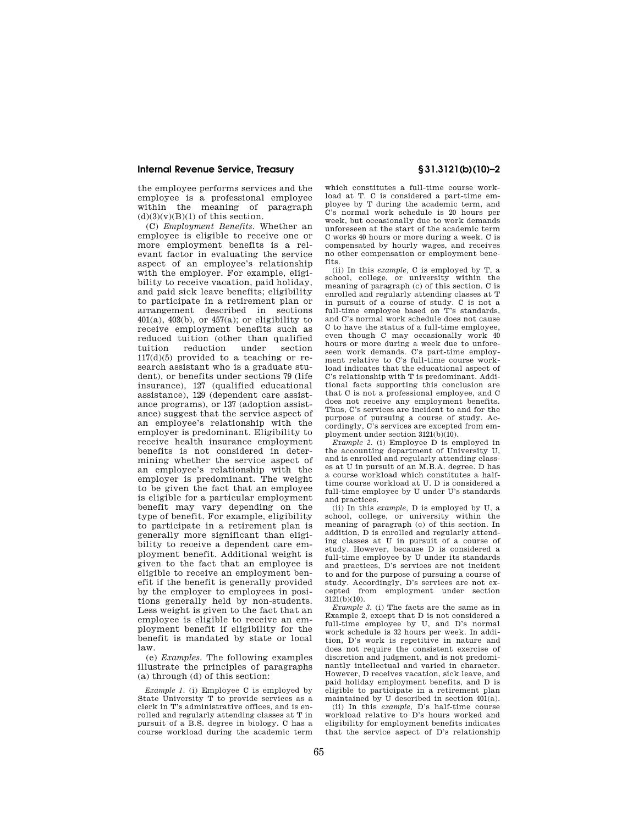### **Internal Revenue Service, Treasury § 31.3121(b)(10)–2**

the employee performs services and the employee is a professional employee within the meaning of paragraph  $(d)(3)(v)(B)(1)$  of this section.

(C) *Employment Benefits.* Whether an employee is eligible to receive one or more employment benefits is a relevant factor in evaluating the service aspect of an employee's relationship with the employer. For example, eligibility to receive vacation, paid holiday, and paid sick leave benefits; eligibility to participate in a retirement plan or arrangement described in sections  $401(a)$ ,  $403(b)$ , or  $457(a)$ ; or eligibility to receive employment benefits such as reduced tuition (other than qualified tuition reduction under section 117(d)(5) provided to a teaching or research assistant who is a graduate student), or benefits under sections 79 (life insurance), 127 (qualified educational assistance), 129 (dependent care assistance programs), or 137 (adoption assistance) suggest that the service aspect of an employee's relationship with the employer is predominant. Eligibility to receive health insurance employment benefits is not considered in determining whether the service aspect of an employee's relationship with the employer is predominant. The weight to be given the fact that an employee is eligible for a particular employment benefit may vary depending on the type of benefit. For example, eligibility to participate in a retirement plan is generally more significant than eligibility to receive a dependent care employment benefit. Additional weight is given to the fact that an employee is eligible to receive an employment benefit if the benefit is generally provided by the employer to employees in positions generally held by non-students. Less weight is given to the fact that an employee is eligible to receive an employment benefit if eligibility for the benefit is mandated by state or local law.

(e) *Examples.* The following examples illustrate the principles of paragraphs (a) through (d) of this section:

*Example 1.* (i) Employee C is employed by State University T to provide services as a clerk in T's administrative offices, and is enrolled and regularly attending classes at T in pursuit of a B.S. degree in biology. C has a course workload during the academic term

which constitutes a full-time course workload at T. C is considered a part-time employee by T during the academic term, and C's normal work schedule is 20 hours per week, but occasionally due to work demands unforeseen at the start of the academic term C works 40 hours or more during a week. C is compensated by hourly wages, and receives no other compensation or employment benefits.

(ii) In this *example,* C is employed by T, a school, college, or university within the meaning of paragraph (c) of this section. C is enrolled and regularly attending classes at T in pursuit of a course of study. C is not a full-time employee based on T's standards, and C's normal work schedule does not cause C to have the status of a full-time employee, even though C may occasionally work 40 hours or more during a week due to unforeseen work demands. C's part-time employment relative to C's full-time course workload indicates that the educational aspect of C's relationship with T is predominant. Additional facts supporting this conclusion are that C is not a professional employee, and C does not receive any employment benefits. Thus, C's services are incident to and for the purpose of pursuing a course of study. Accordingly, C's services are excepted from employment under section  $3121(b)(10)$ .

*Example 2.* (i) Employee D is employed in the accounting department of University U, and is enrolled and regularly attending classes at U in pursuit of an M.B.A. degree. D has a course workload which constitutes a halftime course workload at U. D is considered a full-time employee by U under U's standards and practices.

(ii) In this *example,* D is employed by U, a school, college, or university within the meaning of paragraph (c) of this section. In addition, D is enrolled and regularly attending classes at U in pursuit of a course of study. However, because D is considered a full-time employee by U under its standards and practices, D's services are not incident to and for the purpose of pursuing a course of study. Accordingly, D's services are not excepted from employment under section  $3121(b)(10)$ .

*Example 3.* (i) The facts are the same as in Example 2, except that D is not considered a full-time employee by U, and D's normal work schedule is 32 hours per week. In addition, D's work is repetitive in nature and does not require the consistent exercise of discretion and judgment, and is not predominantly intellectual and varied in character. However, D receives vacation, sick leave, and paid holiday employment benefits, and D is eligible to participate in a retirement plan maintained by U described in section 401(a).

(ii) In this *example,* D's half-time course workload relative to D's hours worked and eligibility for employment benefits indicates that the service aspect of D's relationship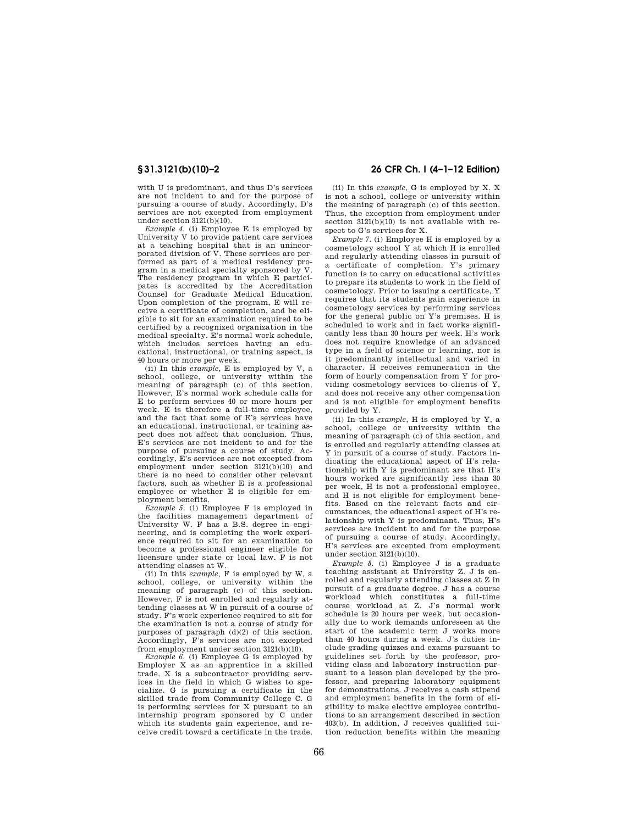with U is predominant, and thus D's services are not incident to and for the purpose of pursuing a course of study. Accordingly, D's services are not excepted from employment under section 3121(b)(10).

*Example 4.* (i) Employee E is employed by University V to provide patient care services at a teaching hospital that is an unincorporated division of V. These services are performed as part of a medical residency program in a medical specialty sponsored by V. The residency program in which E participates is accredited by the Accreditation Counsel for Graduate Medical Education. Upon completion of the program, E will receive a certificate of completion, and be eligible to sit for an examination required to be certified by a recognized organization in the medical specialty. E's normal work schedule, which includes services having an educational, instructional, or training aspect, is 40 hours or more per week.

(ii) In this *example,* E is employed by V, a school, college, or university within the meaning of paragraph (c) of this section. However, E's normal work schedule calls for E to perform services 40 or more hours per week. E is therefore a full-time employee, and the fact that some of E's services have an educational, instructional, or training aspect does not affect that conclusion. Thus, E's services are not incident to and for the purpose of pursuing a course of study. Accordingly, E's services are not excepted from employment under section  $3121(b)(10)$  and there is no need to consider other relevant factors, such as whether E is a professional employee or whether E is eligible for employment benefits.

*Example 5.* (i) Employee F is employed in the facilities management department of University W. F has a B.S. degree in engineering, and is completing the work experience required to sit for an examination to become a professional engineer eligible for licensure under state or local law. F is not attending classes at W.

(ii) In this *example,* F is employed by W, a school, college, or university within the meaning of paragraph (c) of this section. However, F is not enrolled and regularly attending classes at W in pursuit of a course of study. F's work experience required to sit for the examination is not a course of study for purposes of paragraph (d)(2) of this section. Accordingly, F's services are not excepted from employment under section  $3121(b)(10)$ .

*Example 6.* (i) Employee G is employed by Employer X as an apprentice in a skilled trade. X is a subcontractor providing services in the field in which G wishes to specialize. G is pursuing a certificate in the skilled trade from Community College C. G is performing services for X pursuant to an internship program sponsored by C under which its students gain experience, and receive credit toward a certificate in the trade.

## **§ 31.3121(b)(10)–2 26 CFR Ch. I (4–1–12 Edition)**

(ii) In this *example,* G is employed by X. X is not a school, college or university within the meaning of paragraph (c) of this section. Thus, the exception from employment under section 3121(b)(10) is not available with respect to G's services for X.

*Example 7.* (i) Employee H is employed by a cosmetology school Y at which H is enrolled and regularly attending classes in pursuit of a certificate of completion. Y's primary function is to carry on educational activities to prepare its students to work in the field of cosmetology. Prior to issuing a certificate, Y requires that its students gain experience in cosmetology services by performing services for the general public on Y's premises. H is scheduled to work and in fact works significantly less than 30 hours per week. H's work does not require knowledge of an advanced type in a field of science or learning, nor is it predominantly intellectual and varied in character. H receives remuneration in the form of hourly compensation from Y for providing cosmetology services to clients of Y, and does not receive any other compensation and is not eligible for employment benefits provided by Y.

(ii) In this *example,* H is employed by Y, a school, college or university within the meaning of paragraph (c) of this section, and is enrolled and regularly attending classes at Y in pursuit of a course of study. Factors indicating the educational aspect of H's relationship with Y is predominant are that H's hours worked are significantly less than 30 per week, H is not a professional employee, and H is not eligible for employment benefits. Based on the relevant facts and circumstances, the educational aspect of H's relationship with Y is predominant. Thus, H's services are incident to and for the purpose of pursuing a course of study. Accordingly, H's services are excepted from employment under section 3121(b)(10).

*Example 8.* (i) Employee J is a graduate teaching assistant at University Z. J is enrolled and regularly attending classes at Z in pursuit of a graduate degree. J has a course workload which constitutes a full-time course workload at Z. J's normal work schedule is 20 hours per week, but occasionally due to work demands unforeseen at the start of the academic term J works more than 40 hours during a week. J's duties include grading quizzes and exams pursuant to guidelines set forth by the professor, providing class and laboratory instruction pursuant to a lesson plan developed by the professor, and preparing laboratory equipment for demonstrations. J receives a cash stipend and employment benefits in the form of eligibility to make elective employee contributions to an arrangement described in section 403(b). In addition, J receives qualified tuition reduction benefits within the meaning